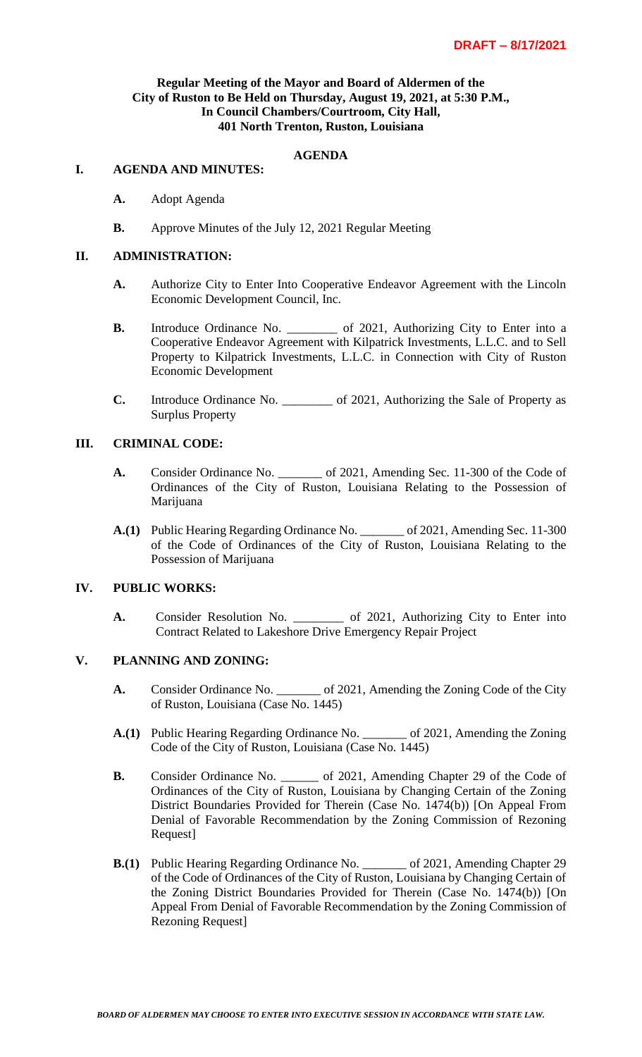## **Regular Meeting of the Mayor and Board of Aldermen of the City of Ruston to Be Held on Thursday, August 19, 2021, at 5:30 P.M., In Council Chambers/Courtroom, City Hall, 401 North Trenton, Ruston, Louisiana**

# **AGENDA**

#### **I. AGENDA AND MINUTES:**

- **A.** Adopt Agenda
- **B.** Approve Minutes of the July 12, 2021 Regular Meeting

#### **II. ADMINISTRATION:**

- **A.** Authorize City to Enter Into Cooperative Endeavor Agreement with the Lincoln Economic Development Council, Inc.
- **B.** Introduce Ordinance No. \_\_\_\_\_\_\_\_\_ of 2021, Authorizing City to Enter into a Cooperative Endeavor Agreement with Kilpatrick Investments, L.L.C. and to Sell Property to Kilpatrick Investments, L.L.C. in Connection with City of Ruston Economic Development
- **C.** Introduce Ordinance No. \_\_\_\_\_\_\_\_ of 2021, Authorizing the Sale of Property as Surplus Property

## **III. CRIMINAL CODE:**

- A. Consider Ordinance No. \_\_\_\_\_\_\_ of 2021, Amending Sec. 11-300 of the Code of Ordinances of the City of Ruston, Louisiana Relating to the Possession of Marijuana
- **A.(1)** Public Hearing Regarding Ordinance No. \_\_\_\_\_\_\_ of 2021, Amending Sec. 11-300 of the Code of Ordinances of the City of Ruston, Louisiana Relating to the Possession of Marijuana

## **IV. PUBLIC WORKS:**

**A.** Consider Resolution No. \_\_\_\_\_\_\_\_ of 2021, Authorizing City to Enter into Contract Related to Lakeshore Drive Emergency Repair Project

## **V. PLANNING AND ZONING:**

- **A.** Consider Ordinance No. \_\_\_\_\_\_\_ of 2021, Amending the Zoning Code of the City of Ruston, Louisiana (Case No. 1445)
- **A.(1)** Public Hearing Regarding Ordinance No. \_\_\_\_\_\_\_ of 2021, Amending the Zoning Code of the City of Ruston, Louisiana (Case No. 1445)
- **B.** Consider Ordinance No. \_\_\_\_\_\_\_ of 2021, Amending Chapter 29 of the Code of Ordinances of the City of Ruston, Louisiana by Changing Certain of the Zoning District Boundaries Provided for Therein (Case No. 1474(b)) [On Appeal From Denial of Favorable Recommendation by the Zoning Commission of Rezoning Request]
- **B.(1)** Public Hearing Regarding Ordinance No. \_\_\_\_\_\_\_ of 2021, Amending Chapter 29 of the Code of Ordinances of the City of Ruston, Louisiana by Changing Certain of the Zoning District Boundaries Provided for Therein (Case No. 1474(b)) [On Appeal From Denial of Favorable Recommendation by the Zoning Commission of Rezoning Request]